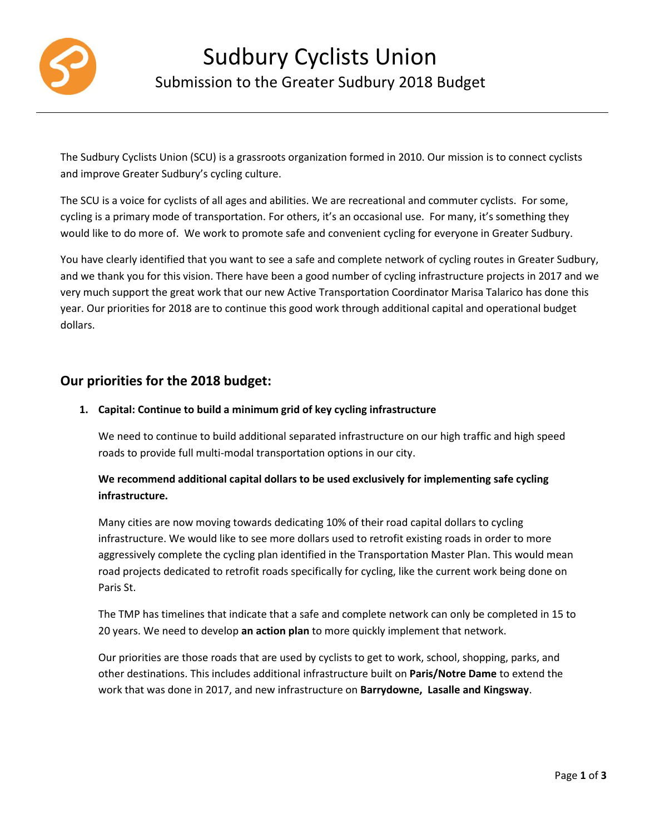

The Sudbury Cyclists Union (SCU) is a grassroots organization formed in 2010. Our mission is to connect cyclists and improve Greater Sudbury's cycling culture.

The SCU is a voice for cyclists of all ages and abilities. We are recreational and commuter cyclists. For some, cycling is a primary mode of transportation. For others, it's an occasional use. For many, it's something they would like to do more of. We work to promote safe and convenient cycling for everyone in Greater Sudbury.

You have clearly identified that you want to see a safe and complete network of cycling routes in Greater Sudbury, and we thank you for this vision. There have been a good number of cycling infrastructure projects in 2017 and we very much support the great work that our new Active Transportation Coordinator Marisa Talarico has done this year. Our priorities for 2018 are to continue this good work through additional capital and operational budget dollars.

# **Our priorities for the 2018 budget:**

## **1. Capital: Continue to build a minimum grid of key cycling infrastructure**

We need to continue to build additional separated infrastructure on our high traffic and high speed roads to provide full multi-modal transportation options in our city.

## **We recommend additional capital dollars to be used exclusively for implementing safe cycling infrastructure.**

Many cities are now moving towards dedicating 10% of their road capital dollars to cycling infrastructure. We would like to see more dollars used to retrofit existing roads in order to more aggressively complete the cycling plan identified in the Transportation Master Plan. This would mean road projects dedicated to retrofit roads specifically for cycling, like the current work being done on Paris St.

The TMP has timelines that indicate that a safe and complete network can only be completed in 15 to 20 years. We need to develop **an action plan** to more quickly implement that network.

Our priorities are those roads that are used by cyclists to get to work, school, shopping, parks, and other destinations. This includes additional infrastructure built on **Paris/Notre Dame** to extend the work that was done in 2017, and new infrastructure on **Barrydowne, Lasalle and Kingsway**.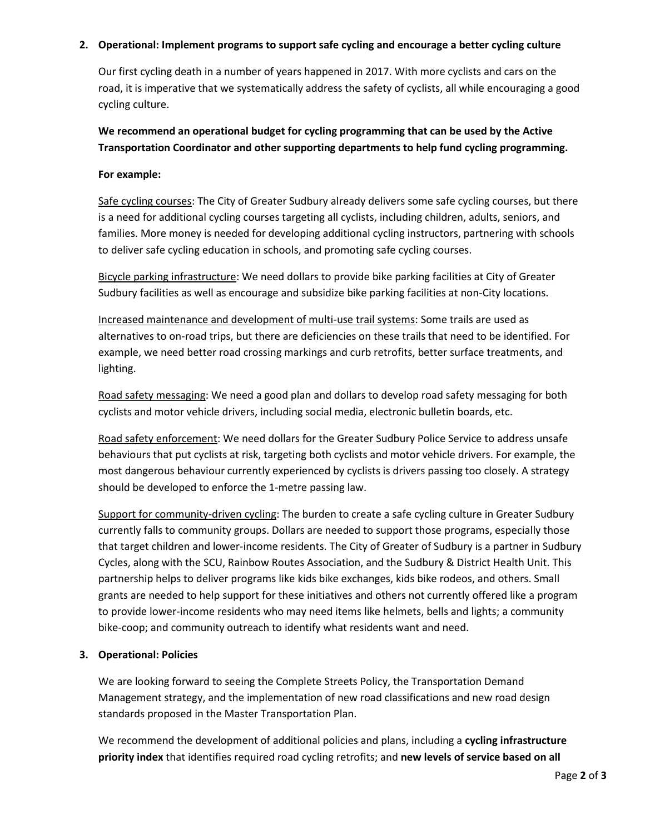#### **2. Operational: Implement programs to support safe cycling and encourage a better cycling culture**

Our first cycling death in a number of years happened in 2017. With more cyclists and cars on the road, it is imperative that we systematically address the safety of cyclists, all while encouraging a good cycling culture.

**We recommend an operational budget for cycling programming that can be used by the Active Transportation Coordinator and other supporting departments to help fund cycling programming.** 

#### **For example:**

Safe cycling courses: The City of Greater Sudbury already delivers some safe cycling courses, but there is a need for additional cycling courses targeting all cyclists, including children, adults, seniors, and families. More money is needed for developing additional cycling instructors, partnering with schools to deliver safe cycling education in schools, and promoting safe cycling courses.

Bicycle parking infrastructure: We need dollars to provide bike parking facilities at City of Greater Sudbury facilities as well as encourage and subsidize bike parking facilities at non-City locations.

Increased maintenance and development of multi-use trail systems: Some trails are used as alternatives to on-road trips, but there are deficiencies on these trails that need to be identified. For example, we need better road crossing markings and curb retrofits, better surface treatments, and lighting.

Road safety messaging: We need a good plan and dollars to develop road safety messaging for both cyclists and motor vehicle drivers, including social media, electronic bulletin boards, etc.

Road safety enforcement: We need dollars for the Greater Sudbury Police Service to address unsafe behaviours that put cyclists at risk, targeting both cyclists and motor vehicle drivers. For example, the most dangerous behaviour currently experienced by cyclists is drivers passing too closely. A strategy should be developed to enforce the 1-metre passing law.

Support for community-driven cycling: The burden to create a safe cycling culture in Greater Sudbury currently falls to community groups. Dollars are needed to support those programs, especially those that target children and lower-income residents. The City of Greater of Sudbury is a partner in Sudbury Cycles, along with the SCU, Rainbow Routes Association, and the Sudbury & District Health Unit. This partnership helps to deliver programs like kids bike exchanges, kids bike rodeos, and others. Small grants are needed to help support for these initiatives and others not currently offered like a program to provide lower-income residents who may need items like helmets, bells and lights; a community bike-coop; and community outreach to identify what residents want and need.

## **3. Operational: Policies**

We are looking forward to seeing the Complete Streets Policy, the Transportation Demand Management strategy, and the implementation of new road classifications and new road design standards proposed in the Master Transportation Plan.

We recommend the development of additional policies and plans, including a **cycling infrastructure priority index** that identifies required road cycling retrofits; and **new levels of service based on all**